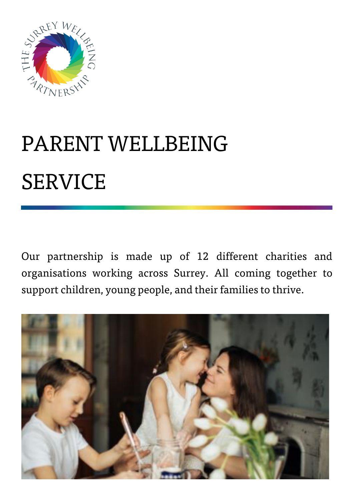

# PARENT WELLBEING SERVICE

Our partnership is made up of 12 different charities and organisations working across Surrey. All coming together to support children, young people, and their families to thrive.

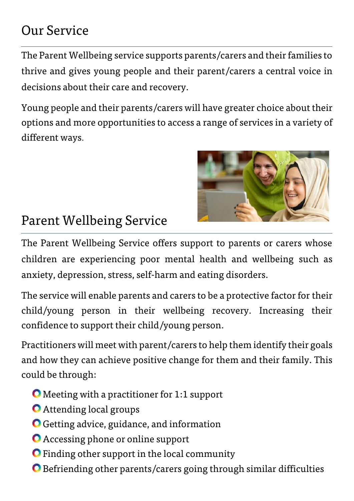### Our Service

The Parent Wellbeing service supports parents/carers and their families to thrive and gives young people and their parent/carers a central voice in decisions about their care and recovery.

Young people and their parents/carers will have greater choice about their options and more opportunities to access a range of services in a variety of different ways.



### Parent Wellbeing Service

The Parent Wellbeing Service offers support to parents or carers whose children are experiencing poor mental health and wellbeing such as anxiety, depression, stress, self-harm and eating disorders.

The service will enable parents and carers to be a protective factor for their child/young person in their wellbeing recovery. Increasing their confidence to support their child/young person.

Practitioners will meet with parent/carers to help them identify their goals and how they can achieve positive change for them and their family. This could be through:

- Meeting with a practitioner for 1:1 support
- Attending local groups
- Getting advice, guidance, and information
- Accessing phone or online support
- **O** Finding other support in the local community
- Befriending other parents/carers going through similar difficulties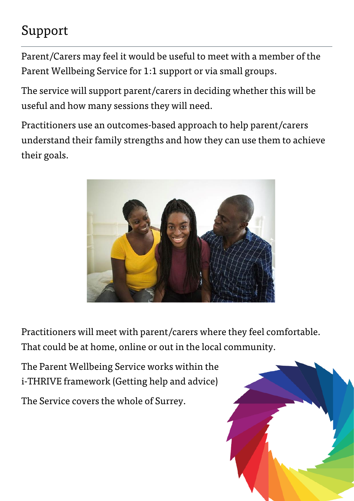## Support

Parent/Carers may feel it would be useful to meet with a member of the Parent Wellbeing Service for 1:1 support or via small groups.

The service will support parent/carers in deciding whether this will be useful and how many sessions they will need.

Practitioners use an outcomes-based approach to help parent/carers understand their family strengths and how they can use them to achieve their goals.



Practitioners will meet with parent/carers where they feel comfortable. That could be at home, online or out in the local community.

The Parent Wellbeing Service works within the i-THRIVE framework (Getting help and advice)

The Service covers the whole of Surrey.